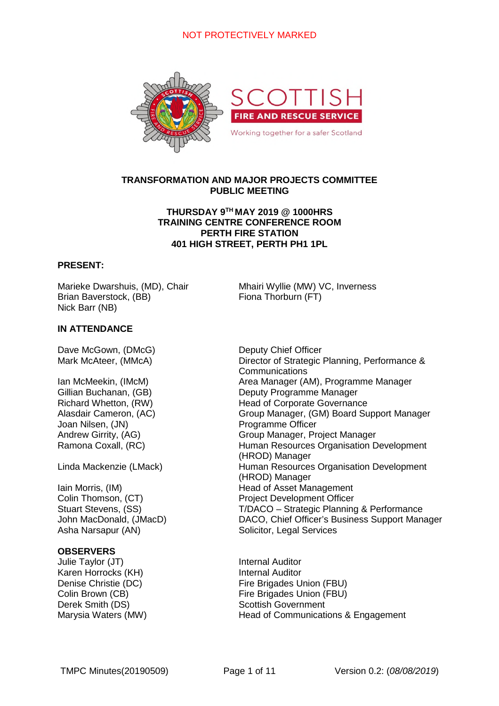# NOT PROTECTIVELY MARKED



## **TRANSFORMATION AND MAJOR PROJECTS COMMITTEE PUBLIC MEETING**

## **THURSDAY 9TH MAY 2019 @ 1000HRS TRAINING CENTRE CONFERENCE ROOM PERTH FIRE STATION 401 HIGH STREET, PERTH PH1 1PL**

## **PRESENT:**

Brian Baverstock, (BB) Fiona Thorburn (FT) Nick Barr (NB)

**IN ATTENDANCE**

Dave McGown, (DMcG) Deputy Chief Officer

Joan Nilsen, (JN) The Programme Officer

Asha Narsapur (AN) Solicitor, Legal Services

## **OBSERVERS**

Julie Taylor (JT) **Internal Auditor** Karen Horrocks (KH) Internal Auditor Derek Smith (DS) Scottish Government

Marieke Dwarshuis, (MD), Chair Mhairi Wyllie (MW) VC, Inverness

Mark McAteer, (MMcA) Director of Strategic Planning, Performance & **Communications** Ian McMeekin, (IMcM) Area Manager (AM), Programme Manager Gillian Buchanan, (GB) Company Deputy Programme Manager Richard Whetton, (RW) Head of Corporate Governance Alasdair Cameron, (AC) Group Manager, (GM) Board Support Manager Andrew Girrity, (AG) Group Manager, Project Manager Ramona Coxall, (RC) **Human Resources Organisation Development** (HROD) Manager Linda Mackenzie (LMack) Human Resources Organisation Development (HROD) Manager Iain Morris, (IM) The Management Colin Thomson, (CT) example 20 Project Development Officer Stuart Stevens, (SS) T/DACO – Strategic Planning & Performance John MacDonald, (JMacD) DACO, Chief Officer's Business Support Manager

Denise Christie (DC) Fire Brigades Union (FBU) Colin Brown (CB) Fire Brigades Union (FBU) Marysia Waters (MW) Thead of Communications & Engagement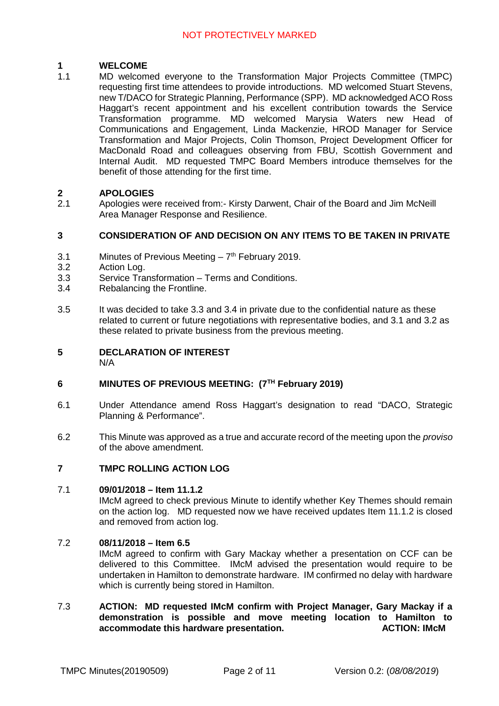#### **1 WELCOME**

1.1 MD welcomed everyone to the Transformation Major Projects Committee (TMPC) requesting first time attendees to provide introductions. MD welcomed Stuart Stevens, new T/DACO for Strategic Planning, Performance (SPP). MD acknowledged ACO Ross Haggart's recent appointment and his excellent contribution towards the Service Transformation programme. MD welcomed Marysia Waters new Head of Communications and Engagement, Linda Mackenzie, HROD Manager for Service Transformation and Major Projects, Colin Thomson, Project Development Officer for MacDonald Road and colleagues observing from FBU, Scottish Government and Internal Audit. MD requested TMPC Board Members introduce themselves for the benefit of those attending for the first time.

#### **2 APOLOGIES**

2.1 Apologies were received from:- Kirsty Darwent, Chair of the Board and Jim McNeill Area Manager Response and Resilience.

#### **3 CONSIDERATION OF AND DECISION ON ANY ITEMS TO BE TAKEN IN PRIVATE**

- 3.1 Minutes of Previous Meeting  $-7<sup>th</sup>$  February 2019.
- 3.2 Action Log.
- 3.3 Service Transformation – Terms and Conditions.
- 3.4 Rebalancing the Frontline.
- 3.5 It was decided to take 3.3 and 3.4 in private due to the confidential nature as these related to current or future negotiations with representative bodies, and 3.1 and 3.2 as these related to private business from the previous meeting.
- **5 DECLARATION OF INTEREST** N/A

#### **6 MINUTES OF PREVIOUS MEETING: (7TH February 2019)**

- 6.1 Under Attendance amend Ross Haggart's designation to read "DACO, Strategic Planning & Performance".
- 6.2 This Minute was approved as a true and accurate record of the meeting upon the *proviso* of the above amendment.

#### **7 TMPC ROLLING ACTION LOG**

#### 7.1 **09/01/2018 – Item 11.1.2**

IMcM agreed to check previous Minute to identify whether Key Themes should remain on the action log. MD requested now we have received updates Item 11.1.2 is closed and removed from action log.

#### 7.2 **08/11/2018 – Item 6.5**

IMcM agreed to confirm with Gary Mackay whether a presentation on CCF can be delivered to this Committee. IMcM advised the presentation would require to be undertaken in Hamilton to demonstrate hardware. IM confirmed no delay with hardware which is currently being stored in Hamilton.

## 7.3 **ACTION: MD requested IMcM confirm with Project Manager, Gary Mackay if a demonstration is possible and move meeting location to Hamilton to accommodate this hardware presentation. ACTION: IMcM**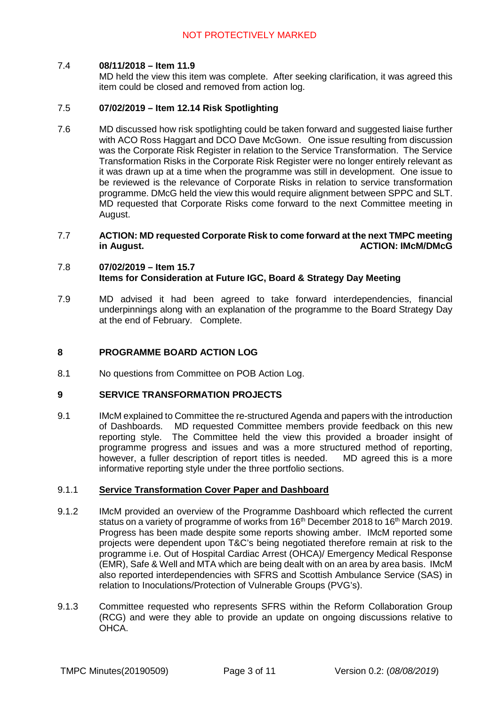#### 7.4 **08/11/2018 – Item 11.9**

MD held the view this item was complete. After seeking clarification, it was agreed this item could be closed and removed from action log.

#### 7.5 **07/02/2019 – Item 12.14 Risk Spotlighting**

7.6 MD discussed how risk spotlighting could be taken forward and suggested liaise further with ACO Ross Haggart and DCO Dave McGown. One issue resulting from discussion was the Corporate Risk Register in relation to the Service Transformation. The Service Transformation Risks in the Corporate Risk Register were no longer entirely relevant as it was drawn up at a time when the programme was still in development. One issue to be reviewed is the relevance of Corporate Risks in relation to service transformation programme. DMcG held the view this would require alignment between SPPC and SLT. MD requested that Corporate Risks come forward to the next Committee meeting in August.

### 7.7 **ACTION: MD requested Corporate Risk to come forward at the next TMPC meeting in August. ACTION: IMcM/DMcG**

### 7.8 **07/02/2019 – Item 15.7 Items for Consideration at Future IGC, Board & Strategy Day Meeting**

7.9 MD advised it had been agreed to take forward interdependencies, financial underpinnings along with an explanation of the programme to the Board Strategy Day at the end of February. Complete.

#### **8 PROGRAMME BOARD ACTION LOG**

8.1 No questions from Committee on POB Action Log.

#### **9 SERVICE TRANSFORMATION PROJECTS**

9.1 IMcM explained to Committee the re-structured Agenda and papers with the introduction of Dashboards. MD requested Committee members provide feedback on this new reporting style. The Committee held the view this provided a broader insight of programme progress and issues and was a more structured method of reporting, however, a fuller description of report titles is needed. MD agreed this is a more informative reporting style under the three portfolio sections.

#### 9.1.1 **Service Transformation Cover Paper and Dashboard**

- 9.1.2 IMcM provided an overview of the Programme Dashboard which reflected the current status on a variety of programme of works from 16<sup>th</sup> December 2018 to 16<sup>th</sup> March 2019. Progress has been made despite some reports showing amber. IMcM reported some projects were dependent upon T&C's being negotiated therefore remain at risk to the programme i.e. Out of Hospital Cardiac Arrest (OHCA)/ Emergency Medical Response (EMR), Safe & Well and MTA which are being dealt with on an area by area basis. IMcM also reported interdependencies with SFRS and Scottish Ambulance Service (SAS) in relation to Inoculations/Protection of Vulnerable Groups (PVG's).
- 9.1.3 Committee requested who represents SFRS within the Reform Collaboration Group (RCG) and were they able to provide an update on ongoing discussions relative to OHCA.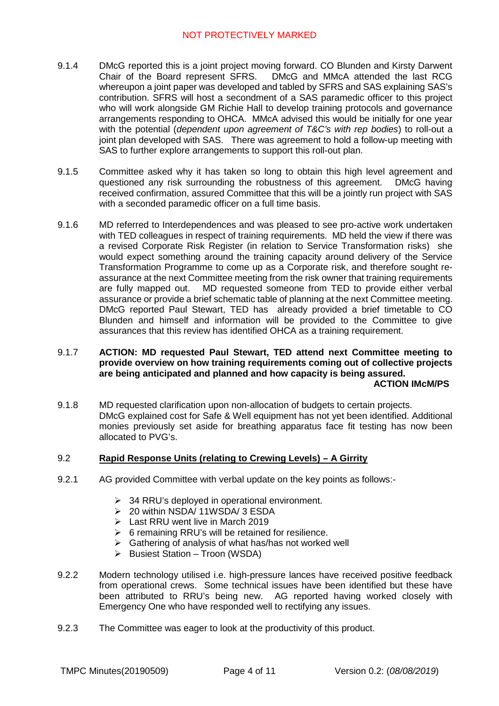# NOT PROTECTIVELY MARKED

- 9.1.4 DMcG reported this is a joint project moving forward. CO Blunden and Kirsty Darwent Chair of the Board represent SFRS. DMcG and MMcA attended the last RCG whereupon a joint paper was developed and tabled by SFRS and SAS explaining SAS's contribution. SFRS will host a secondment of a SAS paramedic officer to this project who will work alongside GM Richie Hall to develop training protocols and governance arrangements responding to OHCA. MMcA advised this would be initially for one year with the potential (*dependent upon agreement of T&C's with rep bodies*) to roll-out a joint plan developed with SAS. There was agreement to hold a follow-up meeting with SAS to further explore arrangements to support this roll-out plan.
- 9.1.5 Committee asked why it has taken so long to obtain this high level agreement and questioned any risk surrounding the robustness of this agreement. DMcG having received confirmation, assured Committee that this will be a jointly run project with SAS with a seconded paramedic officer on a full time basis.
- 9.1.6 MD referred to Interdependences and was pleased to see pro-active work undertaken with TED colleagues in respect of training requirements. MD held the view if there was a revised Corporate Risk Register (in relation to Service Transformation risks) she would expect something around the training capacity around delivery of the Service Transformation Programme to come up as a Corporate risk, and therefore sought reassurance at the next Committee meeting from the risk owner that training requirements are fully mapped out. MD requested someone from TED to provide either verbal assurance or provide a brief schematic table of planning at the next Committee meeting. DMcG reported Paul Stewart, TED has already provided a brief timetable to CO Blunden and himself and information will be provided to the Committee to give assurances that this review has identified OHCA as a training requirement.

### 9.1.7 **ACTION: MD requested Paul Stewart, TED attend next Committee meeting to provide overview on how training requirements coming out of collective projects are being anticipated and planned and how capacity is being assured. ACTION IMcM/PS**

9.1.8 MD requested clarification upon non-allocation of budgets to certain projects. DMcG explained cost for Safe & Well equipment has not yet been identified. Additional monies previously set aside for breathing apparatus face fit testing has now been allocated to PVG's.

#### 9.2 **Rapid Response Units (relating to Crewing Levels) – A Girrity**

- 9.2.1 AG provided Committee with verbal update on the key points as follows:-
	- $\geq$  34 RRU's deploved in operational environment.
	- $\geq$  20 within NSDA/ 11WSDA/ 3 ESDA
	- $\geqslant$  Last RRU went live in March 2019
	- $\triangleright$  6 remaining RRU's will be retained for resilience.
	- $\triangleright$  Gathering of analysis of what has/has not worked well
	- $\triangleright$  Busiest Station Troon (WSDA)
- 9.2. Modern technology utilised i.e. high-pressure lances have received positive feedback from operational crews. Some technical issues have been identified but these have been attributed to RRU's being new. AG reported having worked closely with Emergency One who have responded well to rectifying any issues.
- 9.2.3 The Committee was eager to look at the productivity of this product.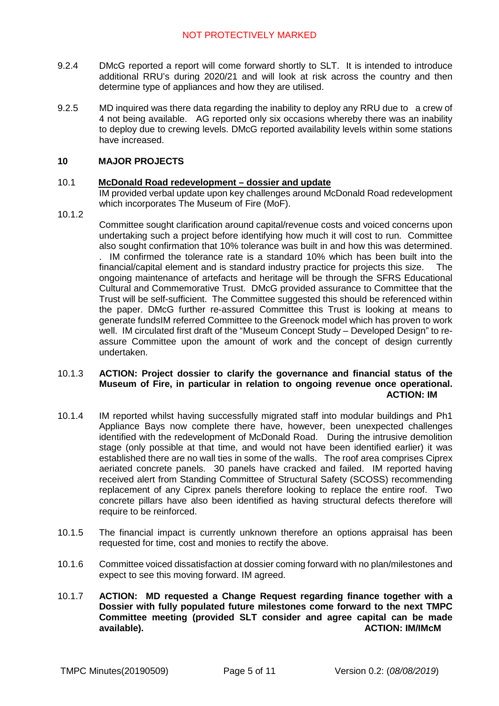- 9.2.4 DMcG reported a report will come forward shortly to SLT. It is intended to introduce additional RRU's during 2020/21 and will look at risk across the country and then determine type of appliances and how they are utilised.
- 9.2.5 MD inquired was there data regarding the inability to deploy any RRU due to a crew of 4 not being available. AG reported only six occasions whereby there was an inability to deploy due to crewing levels. DMcG reported availability levels within some stations have increased.

#### **10 MAJOR PROJECTS**

#### 10.1 **McDonald Road redevelopment – dossier and update**

IM provided verbal update upon key challenges around McDonald Road redevelopment which incorporates The Museum of Fire (MoF).

10.1.2

Committee sought clarification around capital/revenue costs and voiced concerns upon undertaking such a project before identifying how much it will cost to run. Committee also sought confirmation that 10% tolerance was built in and how this was determined. . IM confirmed the tolerance rate is a standard 10% which has been built into the financial/capital element and is standard industry practice for projects this size. The ongoing maintenance of artefacts and heritage will be through the SFRS Educational Cultural and Commemorative Trust. DMcG provided assurance to Committee that the Trust will be self-sufficient. The Committee suggested this should be referenced within the paper. DMcG further re-assured Committee this Trust is looking at means to generate fundsIM referred Committee to the Greenock model which has proven to work well. IM circulated first draft of the "Museum Concept Study – Developed Design" to reassure Committee upon the amount of work and the concept of design currently undertaken.

### 10.1.3 **ACTION: Project dossier to clarify the governance and financial status of the Museum of Fire, in particular in relation to ongoing revenue once operational. ACTION: IM**

- 10.1.4 IM reported whilst having successfully migrated staff into modular buildings and Ph1 Appliance Bays now complete there have, however, been unexpected challenges identified with the redevelopment of McDonald Road. During the intrusive demolition stage (only possible at that time, and would not have been identified earlier) it was established there are no wall ties in some of the walls. The roof area comprises Ciprex aeriated concrete panels. 30 panels have cracked and failed. IM reported having received alert from Standing Committee of Structural Safety (SCOSS) recommending replacement of any Ciprex panels therefore looking to replace the entire roof. Two concrete pillars have also been identified as having structural defects therefore will require to be reinforced.
- 10.1.5 The financial impact is currently unknown therefore an options appraisal has been requested for time, cost and monies to rectify the above.
- 10.1.6 Committee voiced dissatisfaction at dossier coming forward with no plan/milestones and expect to see this moving forward. IM agreed.
- 10.1.7 **ACTION: MD requested a Change Request regarding finance together with a Dossier with fully populated future milestones come forward to the next TMPC Committee meeting (provided SLT consider and agree capital can be made available). ACTION: IM/IMcM**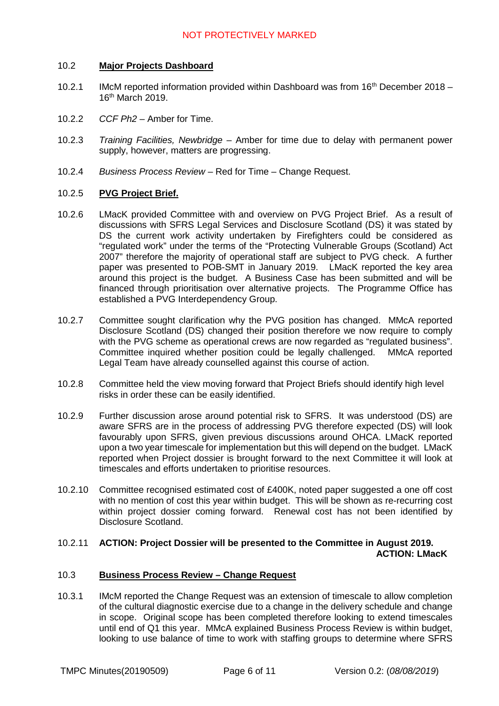#### 10.2 **Major Projects Dashboard**

- 10.2.1 IMcM reported information provided within Dashboard was from 16<sup>th</sup> December 2018 -16th March 2019.
- 10.2.2 *CCF Ph2* – Amber for Time.
- 10.2.3 *Training Facilities, Newbridge* – Amber for time due to delay with permanent power supply, however, matters are progressing.
- 10.2.4 *Business Process Review* – Red for Time – Change Request.

#### 10.2.5 **PVG Project Brief.**

- 10.2.6 LMacK provided Committee with and overview on PVG Project Brief. As a result of discussions with SFRS Legal Services and Disclosure Scotland (DS) it was stated by DS the current work activity undertaken by Firefighters could be considered as "regulated work" under the terms of the "Protecting Vulnerable Groups (Scotland) Act 2007" therefore the majority of operational staff are subject to PVG check. A further paper was presented to POB-SMT in January 2019. LMacK reported the key area around this project is the budget. A Business Case has been submitted and will be financed through prioritisation over alternative projects. The Programme Office has established a PVG Interdependency Group.
- 10.2.7 Committee sought clarification why the PVG position has changed. MMcA reported Disclosure Scotland (DS) changed their position therefore we now require to comply with the PVG scheme as operational crews are now regarded as "regulated business". Committee inquired whether position could be legally challenged. MMcA reported Legal Team have already counselled against this course of action.
- 10.2.8 Committee held the view moving forward that Project Briefs should identify high level risks in order these can be easily identified.
- 10.2.9 Further discussion arose around potential risk to SFRS. It was understood (DS) are aware SFRS are in the process of addressing PVG therefore expected (DS) will look favourably upon SFRS, given previous discussions around OHCA. LMacK reported upon a two year timescale for implementation but this will depend on the budget. LMacK reported when Project dossier is brought forward to the next Committee it will look at timescales and efforts undertaken to prioritise resources.
- 10.2.10 Committee recognised estimated cost of £400K, noted paper suggested a one off cost with no mention of cost this year within budget. This will be shown as re-recurring cost within project dossier coming forward. Renewal cost has not been identified by Disclosure Scotland.

### 10.2.11 **ACTION: Project Dossier will be presented to the Committee in August 2019. ACTION: LMacK**

#### 10.3 **Business Process Review – Change Request**

10.3.1 IMcM reported the Change Request was an extension of timescale to allow completion of the cultural diagnostic exercise due to a change in the delivery schedule and change in scope. Original scope has been completed therefore looking to extend timescales until end of Q1 this year. MMcA explained Business Process Review is within budget, looking to use balance of time to work with staffing groups to determine where SFRS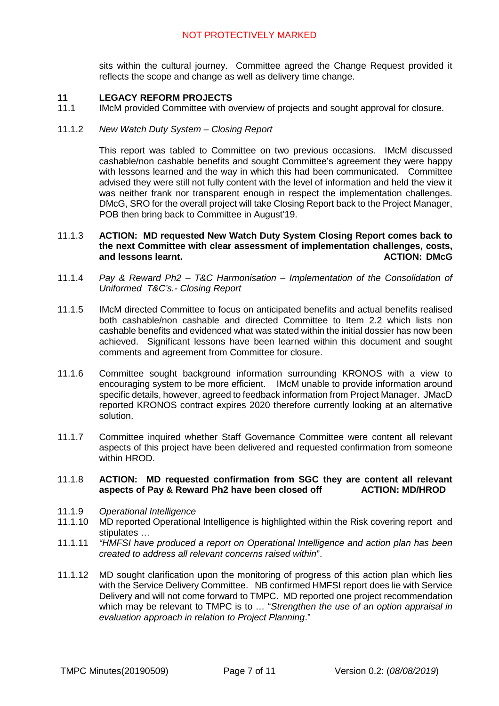# NOT PROTECTIVELY MARKED

sits within the cultural journey. Committee agreed the Change Request provided it reflects the scope and change as well as delivery time change.

#### **11 LEGACY REFORM PROJECTS**

11.1 IMcM provided Committee with overview of projects and sought approval for closure.

#### 11.1.2 *New Watch Duty System – Closing Report*

This report was tabled to Committee on two previous occasions. IMcM discussed cashable/non cashable benefits and sought Committee's agreement they were happy with lessons learned and the way in which this had been communicated. Committee advised they were still not fully content with the level of information and held the view it was neither frank nor transparent enough in respect the implementation challenges. DMcG, SRO for the overall project will take Closing Report back to the Project Manager, POB then bring back to Committee in August'19.

### 11.1.3 **ACTION: MD requested New Watch Duty System Closing Report comes back to the next Committee with clear assessment of implementation challenges, costs, and lessons learnt. ACTION: DMcG**

- 11.1.4 *Pay & Reward Ph2 – T&C Harmonisation – Implementation of the Consolidation of Uniformed T&C's.- Closing Report*
- 11.1.5 IMcM directed Committee to focus on anticipated benefits and actual benefits realised both cashable/non cashable and directed Committee to Item 2.2 which lists non cashable benefits and evidenced what was stated within the initial dossier has now been achieved. Significant lessons have been learned within this document and sought comments and agreement from Committee for closure.
- 11.1.6 Committee sought background information surrounding KRONOS with a view to encouraging system to be more efficient. IMcM unable to provide information around specific details, however, agreed to feedback information from Project Manager. JMacD reported KRONOS contract expires 2020 therefore currently looking at an alternative solution.
- 11.1.7 Committee inquired whether Staff Governance Committee were content all relevant aspects of this project have been delivered and requested confirmation from someone within HROD.

### 11.1.8 **ACTION: MD requested confirmation from SGC they are content all relevant** aspects of Pay & Reward Ph2 have been closed off **ACTION: MD/HROD**

- 11.1.9 *Operational Intelligence*
- 11.1.10 MD reported Operational Intelligence is highlighted within the Risk covering report and stipulates …
- 11.1.11 *"HMFSI have produced a report on Operational Intelligence and action plan has been created to address all relevant concerns raised within*".
- 11.1.12 MD sought clarification upon the monitoring of progress of this action plan which lies with the Service Delivery Committee. NB confirmed HMFSI report does lie with Service Delivery and will not come forward to TMPC. MD reported one project recommendation which may be relevant to TMPC is to … "*Strengthen the use of an option appraisal in evaluation approach in relation to Project Planning*."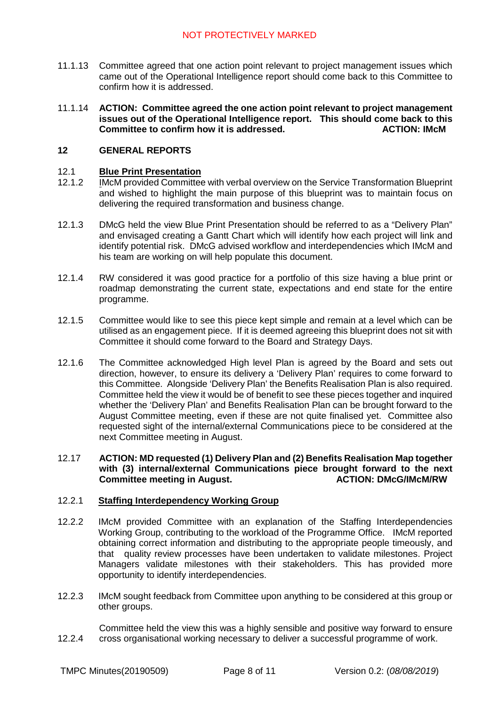- 11.1.13 Committee agreed that one action point relevant to project management issues which came out of the Operational Intelligence report should come back to this Committee to confirm how it is addressed.
- 11.1.14 **ACTION: Committee agreed the one action point relevant to project management issues out of the Operational Intelligence report. This should come back to this Committee to confirm how it is addressed. ACTION: IMcM**

#### **12 GENERAL REPORTS**

#### 12.1 **Blue Print Presentation**

- 12.12 IMcM provided Committee with verbal overview on the Service Transformation Blueprint and wished to highlight the main purpose of this blueprint was to maintain focus on delivering the required transformation and business change.
- 12.1.3 DMcG held the view Blue Print Presentation should be referred to as a "Delivery Plan" and envisaged creating a Gantt Chart which will identify how each project will link and identify potential risk. DMcG advised workflow and interdependencies which IMcM and his team are working on will help populate this document.
- 12.1.4 RW considered it was good practice for a portfolio of this size having a blue print or roadmap demonstrating the current state, expectations and end state for the entire programme.
- 12.1.5 Committee would like to see this piece kept simple and remain at a level which can be utilised as an engagement piece. If it is deemed agreeing this blueprint does not sit with Committee it should come forward to the Board and Strategy Days.
- 12.1.6 The Committee acknowledged High level Plan is agreed by the Board and sets out direction, however, to ensure its delivery a 'Delivery Plan' requires to come forward to this Committee. Alongside 'Delivery Plan' the Benefits Realisation Plan is also required. Committee held the view it would be of benefit to see these pieces together and inquired whether the 'Delivery Plan' and Benefits Realisation Plan can be brought forward to the August Committee meeting, even if these are not quite finalised yet. Committee also requested sight of the internal/external Communications piece to be considered at the next Committee meeting in August.

### 12.17 **ACTION: MD requested (1) Delivery Plan and (2) Benefits Realisation Map together with (3) internal/external Communications piece brought forward to the next Committee meeting in August. ACTION: DMcG/IMcM/RW**

#### 12.2.1 **Staffing Interdependency Working Group**

- 12.2.2 IMcM provided Committee with an explanation of the Staffing Interdependencies Working Group, contributing to the workload of the Programme Office. IMcM reported obtaining correct information and distributing to the appropriate people timeously, and that quality review processes have been undertaken to validate milestones. Project Managers validate milestones with their stakeholders. This has provided more opportunity to identify interdependencies.
- 12.2.3 IMcM sought feedback from Committee upon anything to be considered at this group or other groups.

12.2.4 Committee held the view this was a highly sensible and positive way forward to ensure cross organisational working necessary to deliver a successful programme of work.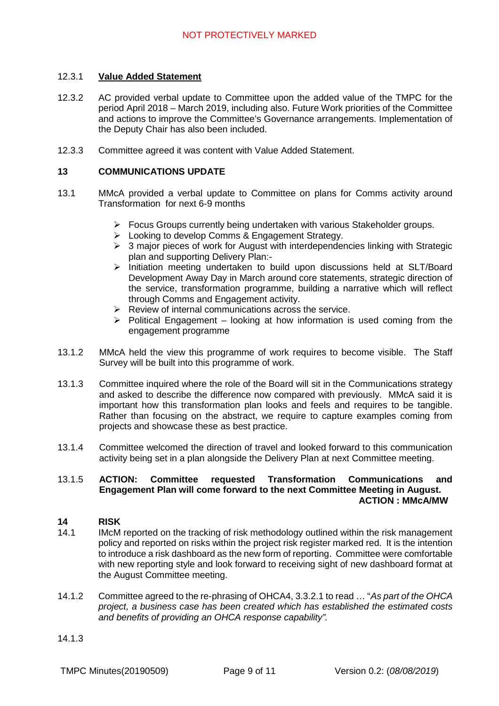#### 12.3.1 **Value Added Statement**

- 12.3.2 AC provided verbal update to Committee upon the added value of the TMPC for the period April 2018 – March 2019, including also. Future Work priorities of the Committee and actions to improve the Committee's Governance arrangements. Implementation of the Deputy Chair has also been included.
- 12.3.3 Committee agreed it was content with Value Added Statement.

#### **13 COMMUNICATIONS UPDATE**

- 13.1 MMcA provided a verbal update to Committee on plans for Comms activity around Transformation for next 6-9 months
	- $\triangleright$  Focus Groups currently being undertaken with various Stakeholder groups.
	- Looking to develop Comms & Engagement Strategy.
	- $\geq$  3 major pieces of work for August with interdependencies linking with Strategic plan and supporting Delivery Plan:-
	- > Initiation meeting undertaken to build upon discussions held at SLT/Board Development Away Day in March around core statements, strategic direction of the service, transformation programme, building a narrative which will reflect through Comms and Engagement activity.
	- $\triangleright$  Review of internal communications across the service.
	- $\triangleright$  Political Engagement looking at how information is used coming from the engagement programme
- 13.1.2 MMcA held the view this programme of work requires to become visible. The Staff Survey will be built into this programme of work.
- 13.1.3 Committee inquired where the role of the Board will sit in the Communications strategy and asked to describe the difference now compared with previously. MMcA said it is important how this transformation plan looks and feels and requires to be tangible. Rather than focusing on the abstract, we require to capture examples coming from projects and showcase these as best practice.
- 13.1.4 Committee welcomed the direction of travel and looked forward to this communication activity being set in a plan alongside the Delivery Plan at next Committee meeting.

### 13.1.5 **ACTION: Committee requested Transformation Communications and Engagement Plan will come forward to the next Committee Meeting in August. ACTION : MMcA/MW**

#### **14 RISK**

- 14.1 IMcM reported on the tracking of risk methodology outlined within the risk management policy and reported on risks within the project risk register marked red. It is the intention to introduce a risk dashboard as the new form of reporting. Committee were comfortable with new reporting style and look forward to receiving sight of new dashboard format at the August Committee meeting.
- 14.1.2 Committee agreed to the re-phrasing of OHCA4, 3.3.2.1 to read … "*As part of the OHCA project, a business case has been created which has established the estimated costs and benefits of providing an OHCA response capability".*
- 14.1.3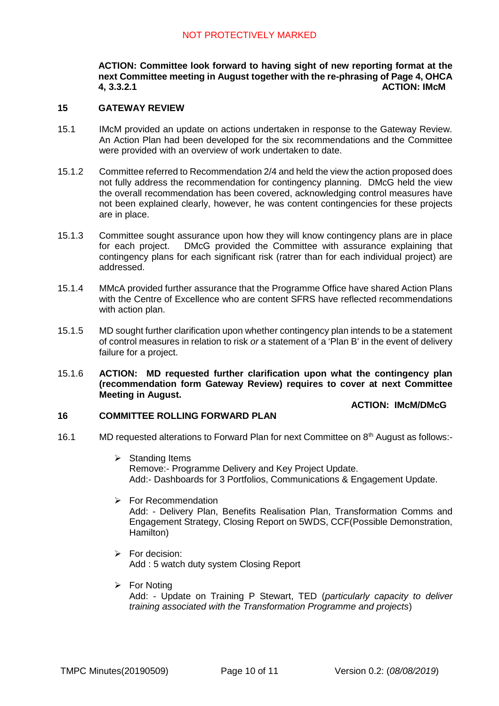**ACTION: Committee look forward to having sight of new reporting format at the next Committee meeting in August together with the re-phrasing of Page 4, OHCA 4, 3.3.2.1 ACTION: IMcM**

#### **15 GATEWAY REVIEW**

- 15.1 IMcM provided an update on actions undertaken in response to the Gateway Review. An Action Plan had been developed for the six recommendations and the Committee were provided with an overview of work undertaken to date.
- 15.1.2 Committee referred to Recommendation 2/4 and held the view the action proposed does not fully address the recommendation for contingency planning. DMcG held the view the overall recommendation has been covered, acknowledging control measures have not been explained clearly, however, he was content contingencies for these projects are in place.
- 15.1.3 Committee sought assurance upon how they will know contingency plans are in place for each project. DMcG provided the Committee with assurance explaining that contingency plans for each significant risk (ratrer than for each individual project) are addressed.
- 15.1.4 MMcA provided further assurance that the Programme Office have shared Action Plans with the Centre of Excellence who are content SFRS have reflected recommendations with action plan.
- 15.1.5 MD sought further clarification upon whether contingency plan intends to be a statement of control measures in relation to risk *or* a statement of a 'Plan B' in the event of delivery failure for a project.
- 15.1.6 **ACTION: MD requested further clarification upon what the contingency plan (recommendation form Gateway Review) requires to cover at next Committee Meeting in August.**

## **ACTION: IMcM/DMcG**

#### **16 COMMITTEE ROLLING FORWARD PLAN**

- 16.1 MD requested alterations to Forward Plan for next Committee on 8<sup>th</sup> August as follows:-
	- $\triangleright$  Standing Items Remove:- Programme Delivery and Key Project Update. Add:- Dashboards for 3 Portfolios, Communications & Engagement Update.
	- $\triangleright$  For Recommendation Add: - Delivery Plan, Benefits Realisation Plan, Transformation Comms and Engagement Strategy, Closing Report on 5WDS, CCF(Possible Demonstration, Hamilton)
	- $\triangleright$  For decision: Add : 5 watch duty system Closing Report
	- $\triangleright$  For Noting Add: - Update on Training P Stewart, TED (*particularly capacity to deliver training associated with the Transformation Programme and projects*)